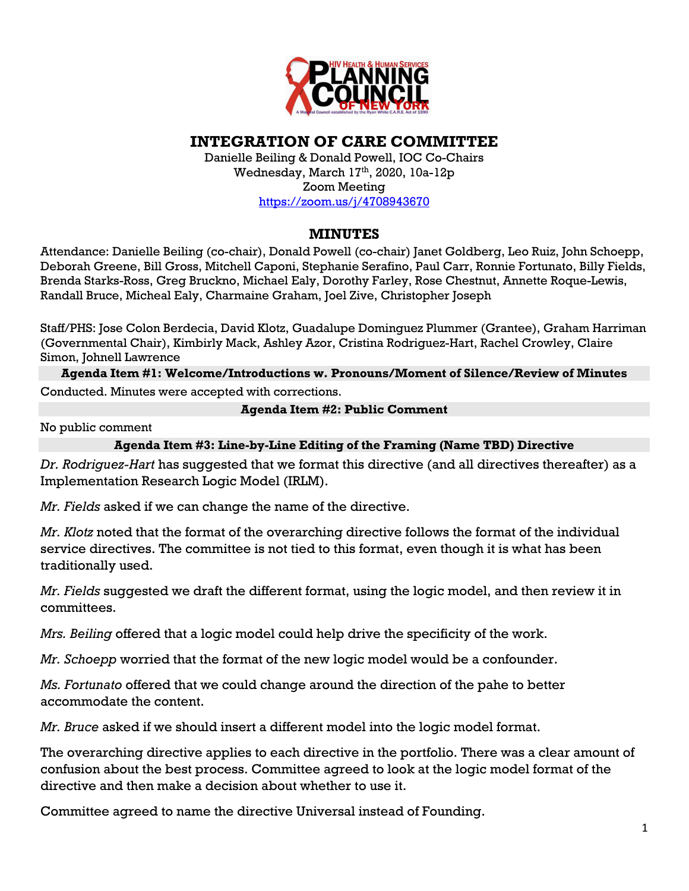

## **INTEGRATION OF CARE COMMITTEE**

Danielle Beiling & Donald Powell, IOC Co-Chairs Wednesday, March 17<sup>th</sup>, 2020, 10a-12p Zoom Meeting https://zoom.us/j/4708943670

## **MINUTES**

Attendance: Danielle Beiling (co-chair), Donald Powell (co-chair) Janet Goldberg, Leo Ruiz, John Schoepp, Deborah Greene, Bill Gross, Mitchell Caponi, Stephanie Serafino, Paul Carr, Ronnie Fortunato, Billy Fields, Brenda Starks-Ross, Greg Bruckno, Michael Ealy, Dorothy Farley, Rose Chestnut, Annette Roque-Lewis, Randall Bruce, Micheal Ealy, Charmaine Graham, Joel Zive, Christopher Joseph

Staff/PHS: Jose Colon Berdecia, David Klotz, Guadalupe Dominguez Plummer (Grantee), Graham Harriman (Governmental Chair), Kimbirly Mack, Ashley Azor, Cristina Rodriguez-Hart, Rachel Crowley, Claire Simon, Johnell Lawrence

**Agenda Item #1: Welcome/Introductions w. Pronouns/Moment of Silence/Review of Minutes** Conducted. Minutes were accepted with corrections.

## **Agenda Item #2: Public Comment**

No public comment

**Agenda Item #3: Line-by-Line Editing of the Framing (Name TBD) Directive**

*Dr. Rodriguez-Hart* has suggested that we format this directive (and all directives thereafter) as a Implementation Research Logic Model (IRLM).

*Mr. Fields* asked if we can change the name of the directive.

*Mr. Klotz* noted that the format of the overarching directive follows the format of the individual service directives. The committee is not tied to this format, even though it is what has been traditionally used.

*Mr. Fields* suggested we draft the different format, using the logic model, and then review it in committees.

*Mrs. Beiling* offered that a logic model could help drive the specificity of the work.

*Mr. Schoepp* worried that the format of the new logic model would be a confounder.

*Ms. Fortunato* offered that we could change around the direction of the pahe to better accommodate the content.

*Mr. Bruce* asked if we should insert a different model into the logic model format.

The overarching directive applies to each directive in the portfolio. There was a clear amount of confusion about the best process. Committee agreed to look at the logic model format of the directive and then make a decision about whether to use it.

Committee agreed to name the directive Universal instead of Founding.